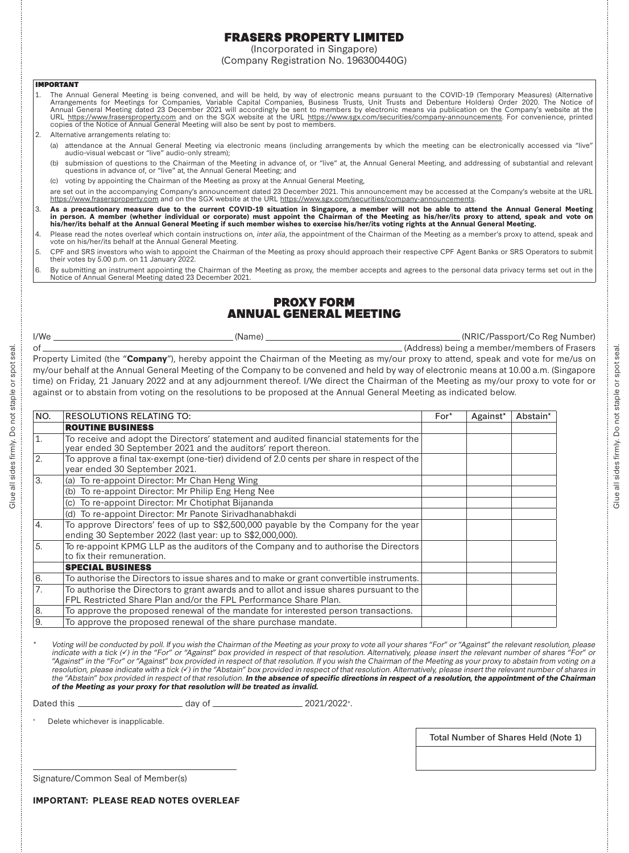# FRASERS PROPERTY LIMITED

(Incorporated in Singapore) (Company Registration No. 196300440G)

#### IMPORTANT

- The Annual General Meeting is being convened, and will be held, by way of electronic means pursuant to the COVID-19 (Temporary Measures) (Alternative<br>Arrangements for Meetings for Companies, Variable Capital Companies, Bus 1.copies of the Notice of Annual General Meeting will also be sent by post to members.
- $\mathcal{L}$  Alternative arrangements relating to:
	- (a) attendance at the Annual General Meeting via electronic means (including arrangements by which the meeting can be electronically accessed via "live" audio-visual webcast or "live" audio-only stream);
	- (b) submission of questions to the Chairman of the Meeting in advance of, or "live" at, the Annual General Meeting, and addressing of substantial and relevant questions in advance of, or "live" at, the Annual General Meeting; and
	- (c) voting by appointing the Chairman of the Meeting as proxy at the Annual General Meeting,
	- are set out in the accompanying Company's announcement dated 23 December 2021. This announcement may be accessed at the Company's website at the URL https://www.frasersproperty.com and on the SGX website at the URL https://www.sgx.com/securities/company-announcements.
- 3.As a precautionary measure due to the current COVID-19 situation in Singapore, a member will not be able to attend the Annual General Meeting<br>in person. A member (whether individual or corporate) must appoint the Chairman
- 4.Please read the notes overleaf which contain instructions on, inter alia, the appointment of the Chairman of the Meeting as a member's proxy to attend, speak and vote on his/her/its behalf at the Annual General Meeting.
- 5.. CPF and SRS investors who wish to appoint the Chairman of the Meeting as proxy should approach their respective CPF Agent Banks or SRS Operators to submit<br>their votes by 5.00 p.m. on 11 January 2022.
- 6. By submitting an instrument appointing the Chairman of the Meeting as proxy, the member accepts and agrees to the personal data privacy terms set out in the Notice of Annual General Meeting dated 23 December 2021.

## PROXY FORMANNUAL GENERAL MEETING

I/We (Name) (NRIC/Passport/Co Reg Number)

of (Address) being a member/members of Frasers Property Limited (the "**Company**"), hereby appoint the Chairman of the Meeting as my/our proxy to attend, speak and vote for me/us on my/our behalf at the Annual General Meeting of the Company to be convened and held by way of electronic means at 10.00 a.m. (Singapore time) on Friday, 21 January 2022 and at any adjournment thereof. I/We direct the Chairman of the Meeting as my/our proxy to vote for or against or to abstain from voting on the resolutions to be proposed at the Annual General Meeting as indicated below.

| NO.              | <b>RESOLUTIONS RELATING TO:</b>                                                                                                                              | $For*$ | Against* | Abstain* |
|------------------|--------------------------------------------------------------------------------------------------------------------------------------------------------------|--------|----------|----------|
|                  | <b>ROUTINE BUSINESS</b>                                                                                                                                      |        |          |          |
| $\overline{1}$ . | To receive and adopt the Directors' statement and audited financial statements for the<br>year ended 30 September 2021 and the auditors' report thereon.     |        |          |          |
| 2.               | To approve a final tax-exempt (one-tier) dividend of 2.0 cents per share in respect of the<br>year ended 30 September 2021.                                  |        |          |          |
| 3.               | To re-appoint Director: Mr Chan Heng Wing<br>(a)                                                                                                             |        |          |          |
|                  | (b) To re-appoint Director: Mr Philip Eng Heng Nee                                                                                                           |        |          |          |
|                  | To re-appoint Director: Mr Chotiphat Bijananda<br>(c)                                                                                                        |        |          |          |
|                  | (d) To re-appoint Director: Mr Panote Sirivadhanabhakdi                                                                                                      |        |          |          |
| 4.               | To approve Directors' fees of up to \$\$2,500,000 payable by the Company for the year<br>ending 30 September 2022 (last year: up to S\$2,000,000).           |        |          |          |
| 5.               | To re-appoint KPMG LLP as the auditors of the Company and to authorise the Directors<br>to fix their remuneration.                                           |        |          |          |
|                  | <b>SPECIAL BUSINESS</b>                                                                                                                                      |        |          |          |
| 6.               | To authorise the Directors to issue shares and to make or grant convertible instruments.                                                                     |        |          |          |
| 7.               | To authorise the Directors to grant awards and to allot and issue shares pursuant to the<br>FPL Restricted Share Plan and/or the FPL Performance Share Plan. |        |          |          |
| 8.               | To approve the proposed renewal of the mandate for interested person transactions.                                                                           |        |          |          |
| 9.               | To approve the proposed renewal of the share purchase mandate.                                                                                               |        |          |          |

Voting will be conducted by poll. If you wish the Chairman of the Meeting as your proxy to vote all your shares "For" or "Against" the relevant resolution, please indicate with a tick  $(V)$  in the "For" or "Against" box provided in respect of that resolution. Alternatively, please insert the relevant number of shares "For" or "Against" in the "For" or "Against" box provided in respect of that resolution. If you wish the Chairman of the Meeting as your proxy to abstain from voting on a resolution, please indicate with a tick (v) in the "Abstain" box provided in respect of that resolution. Alternatively, please insert the relevant number of shares in the "Abstain" box provided in respect of that resolution. *In the absence of specific directions in respect of a resolution, the appointment of the Chairman of the Meeting as your proxy for that resolution will be treated as invalid.* 

Dated this day of 2021/2022<sup>+</sup>

Delete whichever is inapplicable.

Total Number of Shares Held (Note 1)

Signature/Common Seal of Member(s)

seal

Glue all sides firmly. Do not staple or spot seal.

Glue all sides firmly. Do not staple or spot sea